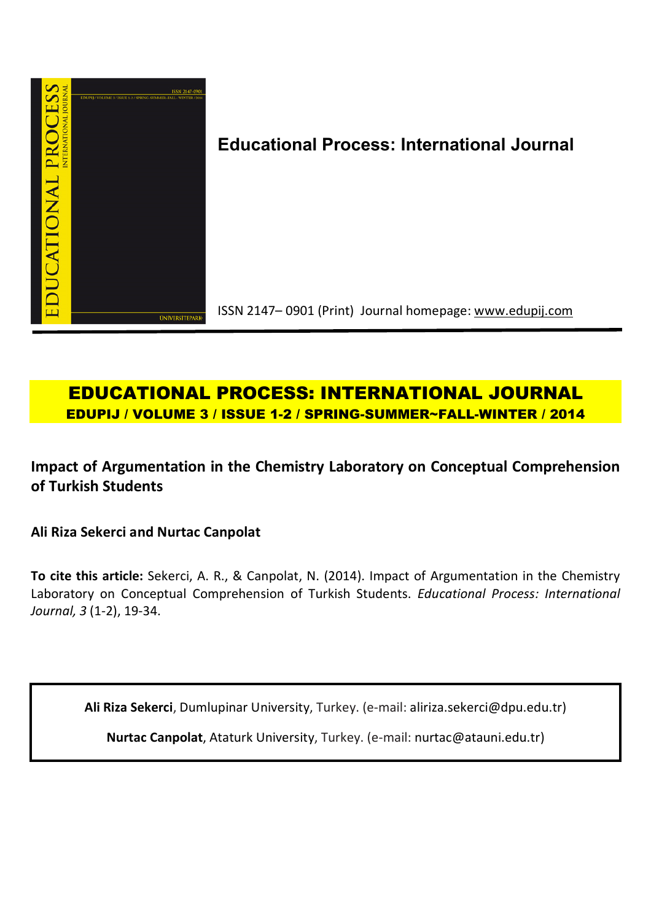

# **Educational Process: International Journal**

ISSN 2147– 0901 (Print) Journal homepage: www.edupij.com

## **EDUCATIONAL PROCESS: INTERNATIONAL JOURNAL EDUPIJ / VOLUME 3 / ISSUE 1-2 / SPRING-SUMMER~FALL-WINTER / 2014**

**Impact of Argumentation in the Chemistry Laboratory on Conceptual Comprehension of Turkish Students**

**Ali Riza Sekerci and Nurtac Canpolat** 

**To cite this article:** Sekerci, A. R., & Canpolat, N. (2014). Impact of Argumentation in the Chemistry Laboratory on Conceptual Comprehension of Turkish Students. *Educational Process: International Journal, 3* (1-2), 19-34.

**Ali Riza Sekerci**, Dumlupinar University, Turkey. (e-mail: aliriza.sekerci@dpu.edu.tr)

**Nurtac Canpolat**, Ataturk University, Turkey. (e-mail: nurtac@atauni.edu.tr)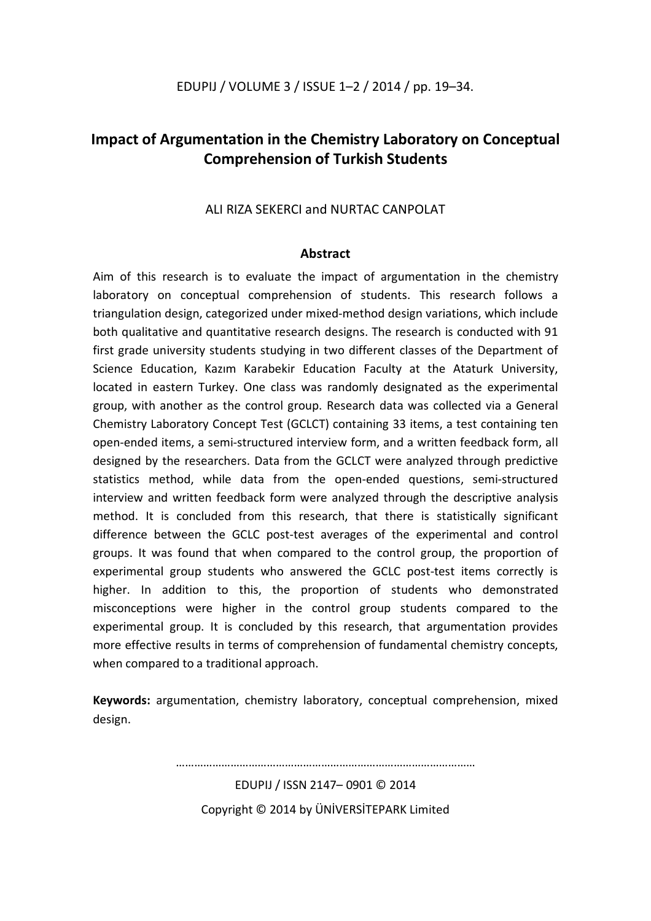## **Impact of Argumentation in the Chemistry Laboratory on Conceptual Comprehension of Turkish Students**

## ALI RIZA SEKERCI and NURTAC CANPOLAT

### **Abstract**

Aim of this research is to evaluate the impact of argumentation in the chemistry laboratory on conceptual comprehension of students. This research follows a triangulation design, categorized under mixed-method design variations, which include both qualitative and quantitative research designs. The research is conducted with 91 first grade university students studying in two different classes of the Department of Science Education, Kazım Karabekir Education Faculty at the Ataturk University, located in eastern Turkey. One class was randomly designated as the experimental group, with another as the control group. Research data was collected via a General Chemistry Laboratory Concept Test (GCLCT) containing 33 items, a test containing ten open-ended items, a semi-structured interview form, and a written feedback form, all designed by the researchers. Data from the GCLCT were analyzed through predictive statistics method, while data from the open-ended questions, semi-structured interview and written feedback form were analyzed through the descriptive analysis method. It is concluded from this research, that there is statistically significant difference between the GCLC post-test averages of the experimental and control groups. It was found that when compared to the control group, the proportion of experimental group students who answered the GCLC post-test items correctly is higher. In addition to this, the proportion of students who demonstrated misconceptions were higher in the control group students compared to the experimental group. It is concluded by this research, that argumentation provides more effective results in terms of comprehension of fundamental chemistry concepts, when compared to a traditional approach.

**Keywords:** argumentation, chemistry laboratory, conceptual comprehension, mixed design.

> EDUPIJ / ISSN 2147– 0901 © 2014 Copyright © 2014 by ÜNİVERSİTEPARK Limited

………………………………………………………………………………………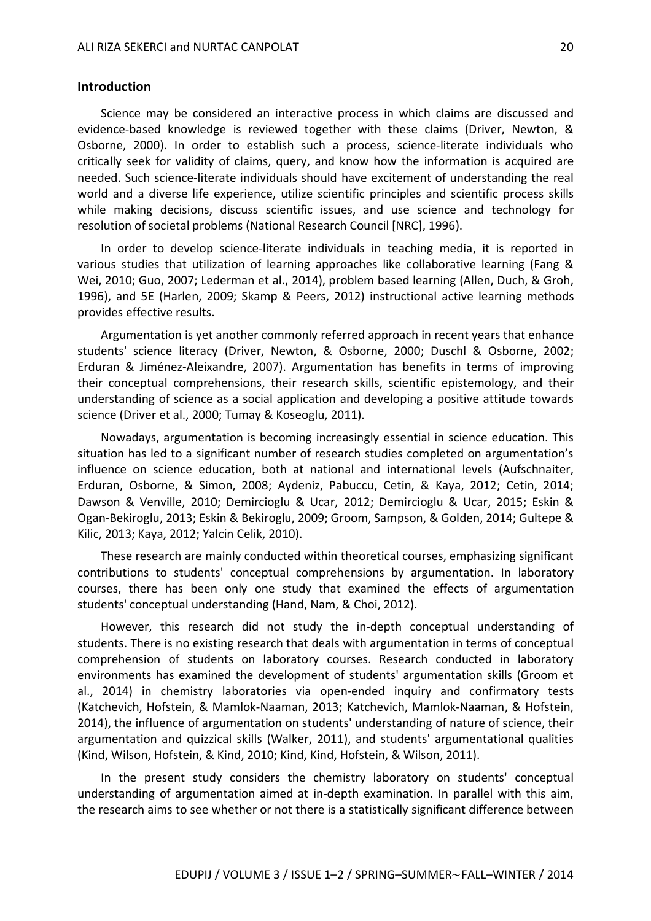#### **Introduction**

Science may be considered an interactive process in which claims are discussed and evidence-based knowledge is reviewed together with these claims (Driver, Newton, & Osborne, 2000). In order to establish such a process, science-literate individuals who critically seek for validity of claims, query, and know how the information is acquired are needed. Such science-literate individuals should have excitement of understanding the real world and a diverse life experience, utilize scientific principles and scientific process skills while making decisions, discuss scientific issues, and use science and technology for resolution of societal problems (National Research Council [NRC], 1996).

In order to develop science-literate individuals in teaching media, it is reported in various studies that utilization of learning approaches like collaborative learning (Fang & Wei, 2010; Guo, 2007; Lederman et al., 2014), problem based learning (Allen, Duch, & Groh, 1996), and 5E (Harlen, 2009; Skamp & Peers, 2012) instructional active learning methods provides effective results.

Argumentation is yet another commonly referred approach in recent years that enhance students' science literacy (Driver, Newton, & Osborne, 2000; Duschl & Osborne, 2002; Erduran & Jiménez-Aleixandre, 2007). Argumentation has benefits in terms of improving their conceptual comprehensions, their research skills, scientific epistemology, and their understanding of science as a social application and developing a positive attitude towards science (Driver et al., 2000; Tumay & Koseoglu, 2011).

Nowadays, argumentation is becoming increasingly essential in science education. This situation has led to a significant number of research studies completed on argumentation's influence on science education, both at national and international levels (Aufschnaiter, Erduran, Osborne, & Simon, 2008; Aydeniz, Pabuccu, Cetin, & Kaya, 2012; Cetin, 2014; Dawson & Venville, 2010; Demircioglu & Ucar, 2012; Demircioglu & Ucar, 2015; Eskin & Ogan-Bekiroglu, 2013; Eskin & Bekiroglu, 2009; Groom, Sampson, & Golden, 2014; Gultepe & Kilic, 2013; Kaya, 2012; Yalcin Celik, 2010).

These research are mainly conducted within theoretical courses, emphasizing significant contributions to students' conceptual comprehensions by argumentation. In laboratory courses, there has been only one study that examined the effects of argumentation students' conceptual understanding (Hand, Nam, & Choi, 2012).

However, this research did not study the in-depth conceptual understanding of students. There is no existing research that deals with argumentation in terms of conceptual comprehension of students on laboratory courses. Research conducted in laboratory environments has examined the development of students' argumentation skills (Groom et al., 2014) in chemistry laboratories via open-ended inquiry and confirmatory tests (Katchevich, Hofstein, & Mamlok-Naaman, 2013; Katchevich, Mamlok-Naaman, & Hofstein, 2014), the influence of argumentation on students' understanding of nature of science, their argumentation and quizzical skills (Walker, 2011), and students' argumentational qualities (Kind, Wilson, Hofstein, & Kind, 2010; Kind, Kind, Hofstein, & Wilson, 2011).

In the present study considers the chemistry laboratory on students' conceptual understanding of argumentation aimed at in-depth examination. In parallel with this aim, the research aims to see whether or not there is a statistically significant difference between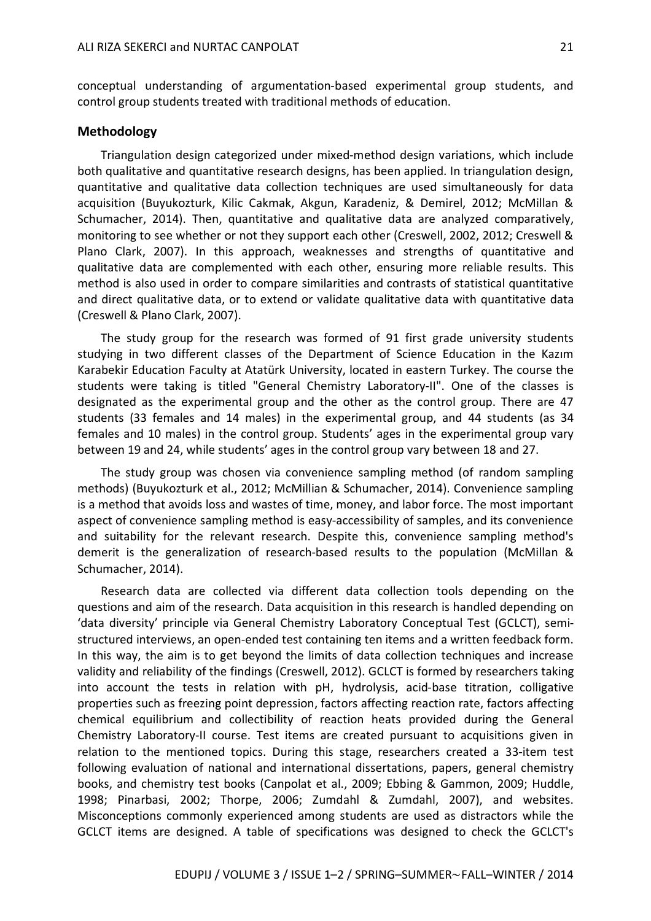conceptual understanding of argumentation-based experimental group students, and control group students treated with traditional methods of education.

#### **Methodology**

Triangulation design categorized under mixed-method design variations, which include both qualitative and quantitative research designs, has been applied. In triangulation design, quantitative and qualitative data collection techniques are used simultaneously for data acquisition (Buyukozturk, Kilic Cakmak, Akgun, Karadeniz, & Demirel, 2012; McMillan & Schumacher, 2014). Then, quantitative and qualitative data are analyzed comparatively, monitoring to see whether or not they support each other (Creswell, 2002, 2012; Creswell & Plano Clark, 2007). In this approach, weaknesses and strengths of quantitative and qualitative data are complemented with each other, ensuring more reliable results. This method is also used in order to compare similarities and contrasts of statistical quantitative and direct qualitative data, or to extend or validate qualitative data with quantitative data (Creswell & Plano Clark, 2007).

The study group for the research was formed of 91 first grade university students studying in two different classes of the Department of Science Education in the Kazım Karabekir Education Faculty at Atatürk University, located in eastern Turkey. The course the students were taking is titled "General Chemistry Laboratory-II". One of the classes is designated as the experimental group and the other as the control group. There are 47 students (33 females and 14 males) in the experimental group, and 44 students (as 34 females and 10 males) in the control group. Students' ages in the experimental group vary between 19 and 24, while students' ages in the control group vary between 18 and 27.

The study group was chosen via convenience sampling method (of random sampling methods) (Buyukozturk et al., 2012; McMillian & Schumacher, 2014). Convenience sampling is a method that avoids loss and wastes of time, money, and labor force. The most important aspect of convenience sampling method is easy-accessibility of samples, and its convenience and suitability for the relevant research. Despite this, convenience sampling method's demerit is the generalization of research-based results to the population (McMillan & Schumacher, 2014).

Research data are collected via different data collection tools depending on the questions and aim of the research. Data acquisition in this research is handled depending on 'data diversity' principle via General Chemistry Laboratory Conceptual Test (GCLCT), semistructured interviews, an open-ended test containing ten items and a written feedback form. In this way, the aim is to get beyond the limits of data collection techniques and increase validity and reliability of the findings (Creswell, 2012). GCLCT is formed by researchers taking into account the tests in relation with pH, hydrolysis, acid-base titration, colligative properties such as freezing point depression, factors affecting reaction rate, factors affecting chemical equilibrium and collectibility of reaction heats provided during the General Chemistry Laboratory-II course. Test items are created pursuant to acquisitions given in relation to the mentioned topics. During this stage, researchers created a 33-item test following evaluation of national and international dissertations, papers, general chemistry books, and chemistry test books (Canpolat et al., 2009; Ebbing & Gammon, 2009; Huddle, 1998; Pinarbasi, 2002; Thorpe, 2006; Zumdahl & Zumdahl, 2007), and websites. Misconceptions commonly experienced among students are used as distractors while the GCLCT items are designed. A table of specifications was designed to check the GCLCT's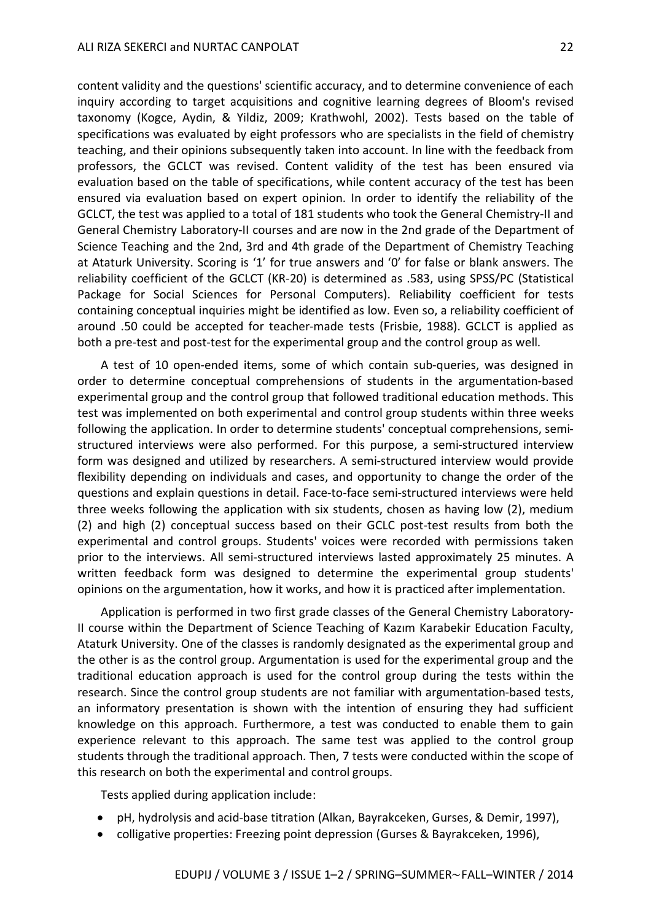content validity and the questions' scientific accuracy, and to determine convenience of each inquiry according to target acquisitions and cognitive learning degrees of Bloom's revised taxonomy (Kogce, Aydin, & Yildiz, 2009; Krathwohl, 2002). Tests based on the table of specifications was evaluated by eight professors who are specialists in the field of chemistry teaching, and their opinions subsequently taken into account. In line with the feedback from professors, the GCLCT was revised. Content validity of the test has been ensured via evaluation based on the table of specifications, while content accuracy of the test has been ensured via evaluation based on expert opinion. In order to identify the reliability of the GCLCT, the test was applied to a total of 181 students who took the General Chemistry-II and General Chemistry Laboratory-II courses and are now in the 2nd grade of the Department of Science Teaching and the 2nd, 3rd and 4th grade of the Department of Chemistry Teaching at Ataturk University. Scoring is '1' for true answers and '0' for false or blank answers. The reliability coefficient of the GCLCT (KR-20) is determined as .583, using SPSS/PC (Statistical Package for Social Sciences for Personal Computers). Reliability coefficient for tests containing conceptual inquiries might be identified as low. Even so, a reliability coefficient of around .50 could be accepted for teacher-made tests (Frisbie, 1988). GCLCT is applied as both a pre-test and post-test for the experimental group and the control group as well.

A test of 10 open-ended items, some of which contain sub-queries, was designed in order to determine conceptual comprehensions of students in the argumentation-based experimental group and the control group that followed traditional education methods. This test was implemented on both experimental and control group students within three weeks following the application. In order to determine students' conceptual comprehensions, semistructured interviews were also performed. For this purpose, a semi-structured interview form was designed and utilized by researchers. A semi-structured interview would provide flexibility depending on individuals and cases, and opportunity to change the order of the questions and explain questions in detail. Face-to-face semi-structured interviews were held three weeks following the application with six students, chosen as having low (2), medium (2) and high (2) conceptual success based on their GCLC post-test results from both the experimental and control groups. Students' voices were recorded with permissions taken prior to the interviews. All semi-structured interviews lasted approximately 25 minutes. A written feedback form was designed to determine the experimental group students' opinions on the argumentation, how it works, and how it is practiced after implementation.

Application is performed in two first grade classes of the General Chemistry Laboratory-II course within the Department of Science Teaching of Kazım Karabekir Education Faculty, Ataturk University. One of the classes is randomly designated as the experimental group and the other is as the control group. Argumentation is used for the experimental group and the traditional education approach is used for the control group during the tests within the research. Since the control group students are not familiar with argumentation-based tests, an informatory presentation is shown with the intention of ensuring they had sufficient knowledge on this approach. Furthermore, a test was conducted to enable them to gain experience relevant to this approach. The same test was applied to the control group students through the traditional approach. Then, 7 tests were conducted within the scope of this research on both the experimental and control groups.

Tests applied during application include:

- pH, hydrolysis and acid-base titration (Alkan, Bayrakceken, Gurses, & Demir, 1997),
- colligative properties: Freezing point depression (Gurses & Bayrakceken, 1996),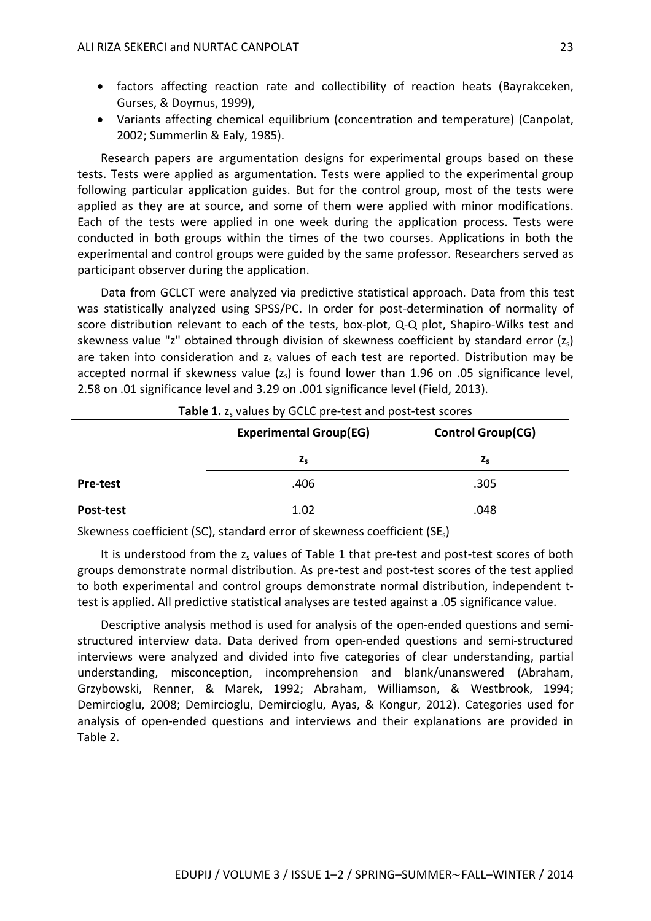- factors affecting reaction rate and collectibility of reaction heats (Bayrakceken, Gurses, & Doymus, 1999),
- Variants affecting chemical equilibrium (concentration and temperature) (Canpolat, 2002; Summerlin & Ealy, 1985).

Research papers are argumentation designs for experimental groups based on these tests. Tests were applied as argumentation. Tests were applied to the experimental group following particular application guides. But for the control group, most of the tests were applied as they are at source, and some of them were applied with minor modifications. Each of the tests were applied in one week during the application process. Tests were conducted in both groups within the times of the two courses. Applications in both the experimental and control groups were guided by the same professor. Researchers served as participant observer during the application.

Data from GCLCT were analyzed via predictive statistical approach. Data from this test was statistically analyzed using SPSS/PC. In order for post-determination of normality of score distribution relevant to each of the tests, box-plot, Q-Q plot, Shapiro-Wilks test and skewness value "z" obtained through division of skewness coefficient by standard error  $(z<sub>s</sub>)$ are taken into consideration and  $z<sub>s</sub>$  values of each test are reported. Distribution may be accepted normal if skewness value  $(z<sub>s</sub>)$  is found lower than 1.96 on .05 significance level, 2.58 on .01 significance level and 3.29 on .001 significance level (Field, 2013).

|                 | <b>Experimental Group(EG)</b> | <b>Control Group(CG)</b> |
|-----------------|-------------------------------|--------------------------|
|                 | $z_{s}$                       | $z_{s}$                  |
| <b>Pre-test</b> | .406                          | .305                     |
| Post-test       | 1.02                          | .048                     |

| Table 1. z <sub>s</sub> values by GCLC pre-test and post-test scores |  |  |
|----------------------------------------------------------------------|--|--|
|----------------------------------------------------------------------|--|--|

Skewness coefficient (SC), standard error of skewness coefficient (SEs)

It is understood from the  $z<sub>s</sub>$  values of Table 1 that pre-test and post-test scores of both groups demonstrate normal distribution. As pre-test and post-test scores of the test applied to both experimental and control groups demonstrate normal distribution, independent ttest is applied. All predictive statistical analyses are tested against a .05 significance value.

Descriptive analysis method is used for analysis of the open-ended questions and semistructured interview data. Data derived from open-ended questions and semi-structured interviews were analyzed and divided into five categories of clear understanding, partial understanding, misconception, incomprehension and blank/unanswered (Abraham, Grzybowski, Renner, & Marek, 1992; Abraham, Williamson, & Westbrook, 1994; Demircioglu, 2008; Demircioglu, Demircioglu, Ayas, & Kongur, 2012). Categories used for analysis of open-ended questions and interviews and their explanations are provided in Table 2.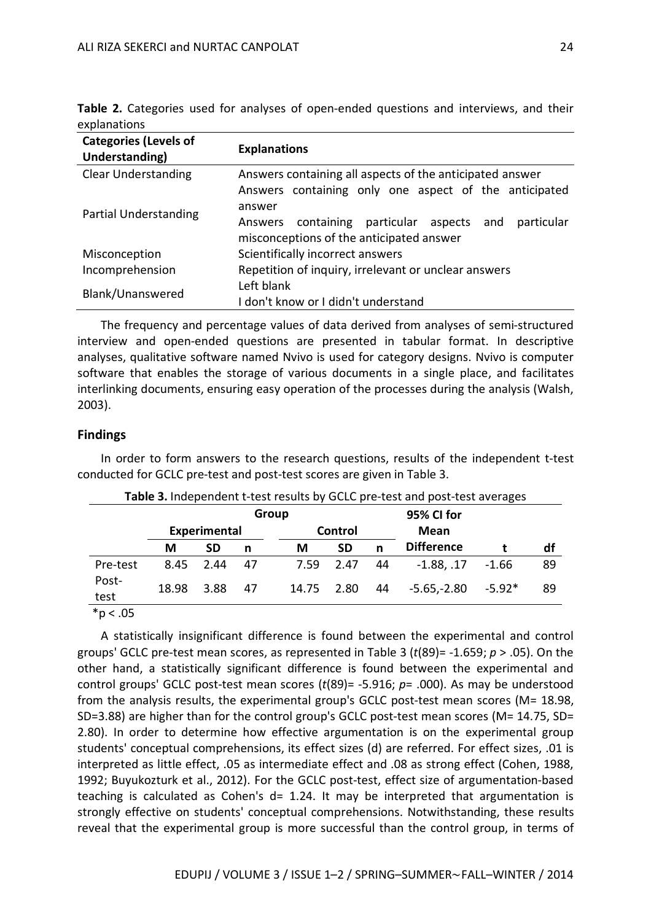| <b>Categories (Levels of</b><br>Understanding) | <b>Explanations</b>                                                                                    |  |  |  |  |  |  |  |
|------------------------------------------------|--------------------------------------------------------------------------------------------------------|--|--|--|--|--|--|--|
| <b>Clear Understanding</b>                     | Answers containing all aspects of the anticipated answer                                               |  |  |  |  |  |  |  |
|                                                | Answers containing only one aspect of the anticipated                                                  |  |  |  |  |  |  |  |
| Partial Understanding                          | answer                                                                                                 |  |  |  |  |  |  |  |
|                                                | Answers containing particular aspects<br>particular<br>and<br>misconceptions of the anticipated answer |  |  |  |  |  |  |  |
| Misconception                                  | Scientifically incorrect answers                                                                       |  |  |  |  |  |  |  |
| Incomprehension                                | Repetition of inquiry, irrelevant or unclear answers                                                   |  |  |  |  |  |  |  |
| Blank/Unanswered                               | Left blank                                                                                             |  |  |  |  |  |  |  |
|                                                | don't know or I didn't understand                                                                      |  |  |  |  |  |  |  |

**Table 2.** Categories used for analyses of open-ended questions and interviews, and their explanations

The frequency and percentage values of data derived from analyses of semi-structured interview and open-ended questions are presented in tabular format. In descriptive analyses, qualitative software named Nvivo is used for category designs. Nvivo is computer software that enables the storage of various documents in a single place, and facilitates interlinking documents, ensuring easy operation of the processes during the analysis (Walsh, 2003).

#### **Findings**

In order to form answers to the research questions, results of the independent t-test conducted for GCLC pre-test and post-test scores are given in Table 3.

| <b>Table 5.</b> Independent t-test results by GCLC pre-test and post-test averages |              |           |    |         |            |    |                   |          |    |  |
|------------------------------------------------------------------------------------|--------------|-----------|----|---------|------------|----|-------------------|----------|----|--|
|                                                                                    |              |           |    | Group   | 95% CI for |    |                   |          |    |  |
|                                                                                    | Experimental |           |    | Control |            |    | Mean              |          |    |  |
|                                                                                    | М            | <b>SD</b> | n  | M       | <b>SD</b>  | n  | <b>Difference</b> |          | df |  |
| Pre-test                                                                           | 8.45         | 2.44      | 47 | 7.59    | 2.47       | 44 | $-1.88, .17$      | $-1.66$  | 89 |  |
| Post-<br>test                                                                      | 18.98        | 3.88      | 47 | 14.75   | 2.80       | 44 | $-5.65, -2.80$    | $-5.92*$ | 89 |  |
| $\star$ $\sim$ $\sim$ $\sim$                                                       |              |           |    |         |            |    |                   |          |    |  |

**Table 3.** Independent t-test results by GCLC are test and post-test averages

\*p < .05

A statistically insignificant difference is found between the experimental and control groups' GCLC pre-test mean scores, as represented in Table 3 (*t*(89)= -1.659; *p* > .05). On the other hand, a statistically significant difference is found between the experimental and control groups' GCLC post-test mean scores (*t*(89)= -5.916; *p*= .000). As may be understood from the analysis results, the experimental group's GCLC post-test mean scores (M= 18.98, SD=3.88) are higher than for the control group's GCLC post-test mean scores (M= 14.75, SD= 2.80). In order to determine how effective argumentation is on the experimental group students' conceptual comprehensions, its effect sizes (d) are referred. For effect sizes, .01 is interpreted as little effect, .05 as intermediate effect and .08 as strong effect (Cohen, 1988, 1992; Buyukozturk et al., 2012). For the GCLC post-test, effect size of argumentation-based teaching is calculated as Cohen's  $d= 1.24$ . It may be interpreted that argumentation is strongly effective on students' conceptual comprehensions. Notwithstanding, these results reveal that the experimental group is more successful than the control group, in terms of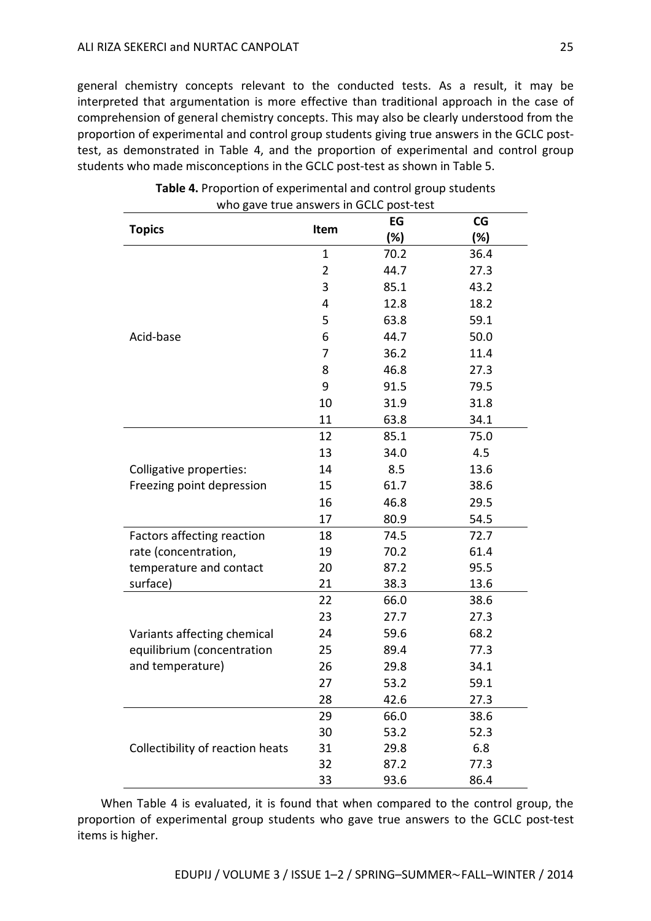general chemistry concepts relevant to the conducted tests. As a result, it may be interpreted that argumentation is more effective than traditional approach in the case of comprehension of general chemistry concepts. This may also be clearly understood from the proportion of experimental and control group students giving true answers in the GCLC posttest, as demonstrated in Table 4, and the proportion of experimental and control group students who made misconceptions in the GCLC post-test as shown in Table 5.

|                                  |                | EG   | CG   |
|----------------------------------|----------------|------|------|
| <b>Topics</b>                    | Item           | (%)  | (%)  |
|                                  | $\mathbf{1}$   | 70.2 | 36.4 |
|                                  | $\overline{2}$ | 44.7 | 27.3 |
|                                  | 3              | 85.1 | 43.2 |
|                                  | 4              | 12.8 | 18.2 |
|                                  | 5              | 63.8 | 59.1 |
| Acid-base                        | 6              | 44.7 | 50.0 |
|                                  | 7              | 36.2 | 11.4 |
|                                  | 8              | 46.8 | 27.3 |
|                                  | 9              | 91.5 | 79.5 |
|                                  | 10             | 31.9 | 31.8 |
|                                  | 11             | 63.8 | 34.1 |
|                                  | 12             | 85.1 | 75.0 |
|                                  | 13             | 34.0 | 4.5  |
| Colligative properties:          | 14             | 8.5  | 13.6 |
| Freezing point depression        | 15             | 61.7 | 38.6 |
|                                  | 16             | 46.8 | 29.5 |
|                                  | 17             | 80.9 | 54.5 |
| Factors affecting reaction       | 18             | 74.5 | 72.7 |
| rate (concentration,             | 19             | 70.2 | 61.4 |
| temperature and contact          | 20             | 87.2 | 95.5 |
| surface)                         | 21             | 38.3 | 13.6 |
|                                  | 22             | 66.0 | 38.6 |
|                                  | 23             | 27.7 | 27.3 |
| Variants affecting chemical      | 24             | 59.6 | 68.2 |
| equilibrium (concentration       | 25             | 89.4 | 77.3 |
| and temperature)                 | 26             | 29.8 | 34.1 |
|                                  | 27             | 53.2 | 59.1 |
|                                  | 28             | 42.6 | 27.3 |
|                                  | 29             | 66.0 | 38.6 |
|                                  | 30             | 53.2 | 52.3 |
| Collectibility of reaction heats | 31             | 29.8 | 6.8  |
|                                  | 32             | 87.2 | 77.3 |
|                                  | 33             | 93.6 | 86.4 |

**Table 4.** Proportion of experimental and control group students who gave true answers in GCLC post-test

When Table 4 is evaluated, it is found that when compared to the control group, the proportion of experimental group students who gave true answers to the GCLC post-test items is higher.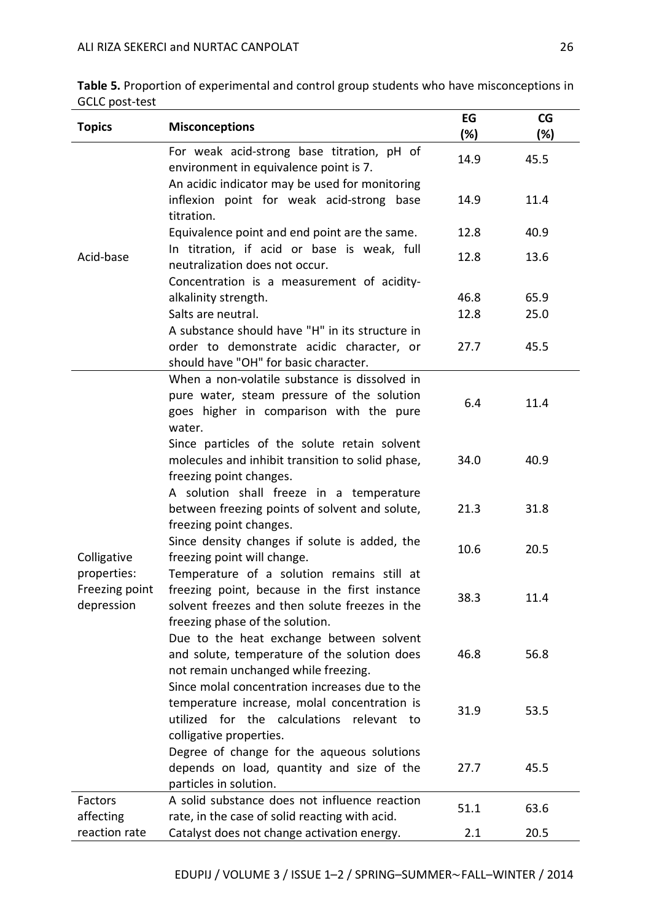| Table 5. Proportion of experimental and control group students who have misconceptions in |  |
|-------------------------------------------------------------------------------------------|--|
| GCLC post-test                                                                            |  |

| <b>Topics</b>                               | <b>Misconceptions</b>                                                                                                                                                            | EG<br>(%) | CG<br>(%) |
|---------------------------------------------|----------------------------------------------------------------------------------------------------------------------------------------------------------------------------------|-----------|-----------|
|                                             | For weak acid-strong base titration, pH of<br>environment in equivalence point is 7.                                                                                             | 14.9      | 45.5      |
|                                             | An acidic indicator may be used for monitoring<br>inflexion point for weak acid-strong base<br>titration.                                                                        | 14.9      | 11.4      |
|                                             | Equivalence point and end point are the same.                                                                                                                                    | 12.8      | 40.9      |
| Acid-base                                   | In titration, if acid or base is weak, full<br>neutralization does not occur.                                                                                                    | 12.8      | 13.6      |
|                                             | Concentration is a measurement of acidity-                                                                                                                                       |           |           |
|                                             | alkalinity strength.                                                                                                                                                             | 46.8      | 65.9      |
|                                             | Salts are neutral.                                                                                                                                                               | 12.8      | 25.0      |
|                                             | A substance should have "H" in its structure in<br>order to demonstrate acidic character, or                                                                                     | 27.7      | 45.5      |
|                                             | should have "OH" for basic character.<br>When a non-volatile substance is dissolved in<br>pure water, steam pressure of the solution<br>goes higher in comparison with the pure  | 6.4       | 11.4      |
|                                             | water.<br>Since particles of the solute retain solvent<br>molecules and inhibit transition to solid phase,<br>freezing point changes.                                            | 34.0      | 40.9      |
|                                             | A solution shall freeze in a temperature<br>between freezing points of solvent and solute,<br>freezing point changes.                                                            | 21.3      | 31.8      |
| Colligative                                 | Since density changes if solute is added, the<br>freezing point will change.                                                                                                     | 10.6      | 20.5      |
| properties:<br>Freezing point<br>depression | Temperature of a solution remains still at<br>freezing point, because in the first instance<br>solvent freezes and then solute freezes in the<br>freezing phase of the solution. | 38.3      | 11.4      |
|                                             | Due to the heat exchange between solvent<br>and solute, temperature of the solution does<br>not remain unchanged while freezing.                                                 | 46.8      | 56.8      |
|                                             | Since molal concentration increases due to the<br>temperature increase, molal concentration is<br>utilized for the calculations relevant to<br>colligative properties.           | 31.9      | 53.5      |
|                                             | Degree of change for the aqueous solutions<br>depends on load, quantity and size of the<br>particles in solution.                                                                | 27.7      | 45.5      |
| Factors<br>affecting                        | A solid substance does not influence reaction<br>rate, in the case of solid reacting with acid.                                                                                  | 51.1      | 63.6      |
| reaction rate                               | Catalyst does not change activation energy.                                                                                                                                      | 2.1       | 20.5      |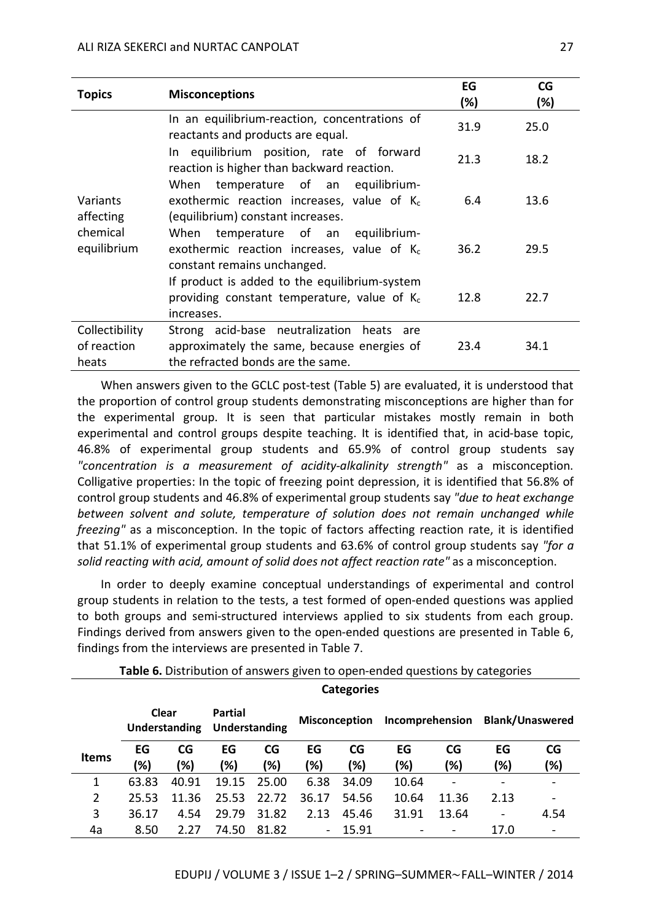| <b>Topics</b>                          | <b>Misconceptions</b>                                                                                                            | EG<br>(%) | CG<br>(%) |
|----------------------------------------|----------------------------------------------------------------------------------------------------------------------------------|-----------|-----------|
|                                        | In an equilibrium-reaction, concentrations of<br>reactants and products are equal.                                               | 31.9      | 25.0      |
|                                        | In equilibrium position, rate of forward<br>reaction is higher than backward reaction.                                           | 21.3      | 18.2      |
| Variants<br>affecting                  | temperature of an<br>equilibrium-<br>When<br>exothermic reaction increases, value of $K_c$<br>(equilibrium) constant increases.  | 6.4       | 13.6      |
| chemical<br>equilibrium                | temperature of an<br>When<br>equilibrium-<br>exothermic reaction increases, value of $K_c$<br>constant remains unchanged.        | 36.2      | 29.5      |
|                                        | If product is added to the equilibrium-system<br>providing constant temperature, value of $K_c$<br>increases.                    | 12.8      | 22.7      |
| Collectibility<br>of reaction<br>heats | Strong acid-base neutralization heats<br>are<br>approximately the same, because energies of<br>the refracted bonds are the same. | 23.4      | 34.1      |

When answers given to the GCLC post-test (Table 5) are evaluated, it is understood that the proportion of control group students demonstrating misconceptions are higher than for the experimental group. It is seen that particular mistakes mostly remain in both experimental and control groups despite teaching. It is identified that, in acid-base topic, 46.8% of experimental group students and 65.9% of control group students say *"concentration is a measurement of acidity-alkalinity strength"* as a misconception. Colligative properties: In the topic of freezing point depression, it is identified that 56.8% of control group students and 46.8% of experimental group students say *"due to heat exchange between solvent and solute, temperature of solution does not remain unchanged while freezing"* as a misconception. In the topic of factors affecting reaction rate, it is identified that 51.1% of experimental group students and 63.6% of control group students say *"for a solid reacting with acid, amount of solid does not affect reaction rate"* as a misconception.

In order to deeply examine conceptual understandings of experimental and control group students in relation to the tests, a test formed of open-ended questions was applied to both groups and semi-structured interviews applied to six students from each group. Findings derived from answers given to the open-ended questions are presented in Table 6, findings from the interviews are presented in Table 7.

**Table 6.** Distribution of answers given to open-ended questions by categories

|              | <b>Categories</b>             |           |                                 |           |                      |           |                 |                          |                          |           |
|--------------|-------------------------------|-----------|---------------------------------|-----------|----------------------|-----------|-----------------|--------------------------|--------------------------|-----------|
|              | Clear<br><b>Understanding</b> |           | <b>Partial</b><br>Understanding |           | <b>Misconception</b> |           | Incomprehension |                          | <b>Blank/Unaswered</b>   |           |
| <b>Items</b> | EG<br>(%)                     | CG<br>(%) | EG<br>(%)                       | CG<br>(%) | EG<br>(%)            | CG<br>!%) | EG<br>(%)       | CG<br>(%)                | EG<br>!%)                | CG<br>!%) |
| 1            | 63.83                         | 40.91     | 19.15                           | 25.00     | 6.38                 | 34.09     | 10.64           |                          | $\overline{\phantom{0}}$ |           |
| 2            | 25.53                         | 11.36     | 25.53                           | 22.72     | 36.17                | 54.56     | 10.64           | 11.36                    | 2.13                     |           |
| 3            | 36.17                         | 4.54      | 29.79                           | 31.82     | 2.13                 | 45.46     | 31.91           | 13.64                    | $\qquad \qquad$          | 4.54      |
| 4a           | 8.50                          | 2.27      | 74.50                           | 81.82     | ۰.                   | 15.91     |                 | $\overline{\phantom{a}}$ | 17.0                     |           |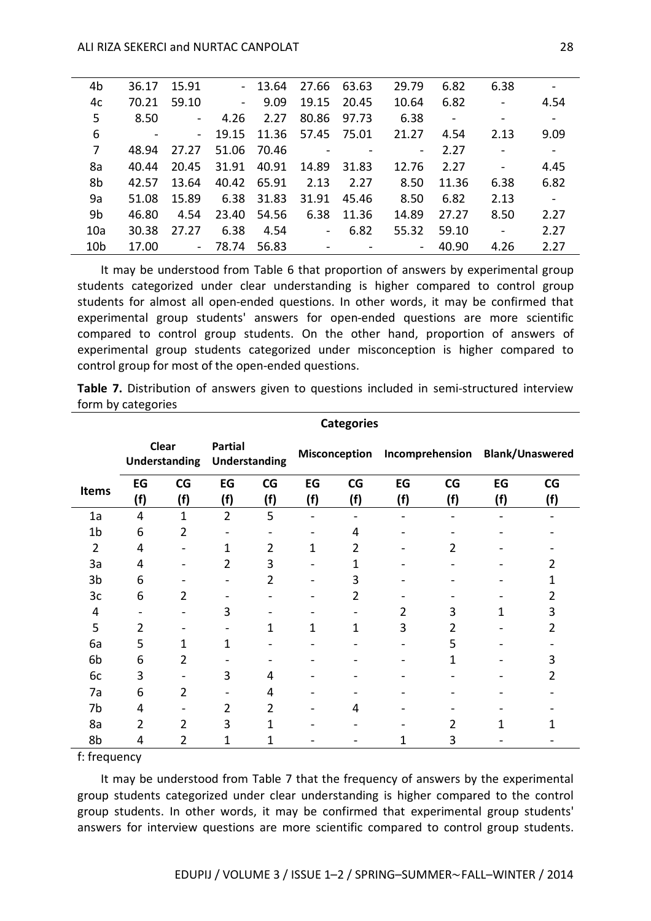| 4b              | 36.17 | 15.91          |                | $-13.64$ | 27.66              | 63.63          | 29.79           | 6.82   | 6.38            | $\overline{\phantom{a}}$ |  |
|-----------------|-------|----------------|----------------|----------|--------------------|----------------|-----------------|--------|-----------------|--------------------------|--|
| 4c              | 70.21 | 59.10          | $\blacksquare$ | 9.09     | 19.15              | 20.45          | 10.64           | 6.82   | $\sim$          | 4.54                     |  |
| 5               | 8.50  | $\blacksquare$ | 4.26           | 2.27     | 80.86              | 97.73          | 6.38            | $\sim$ |                 | $\blacksquare$           |  |
| 6               |       | $\sim$         | 19.15          | 11.36    | 57.45              | 75.01          | 21.27           | 4.54   | 2.13            | 9.09                     |  |
| 7               | 48.94 | 27.27          | 51.06          | 70.46    | $\sim$             | $\blacksquare$ | $\sim$ 10 $\pm$ | 2.27   | $\sim 10^{-10}$ | $\blacksquare$           |  |
| 8a              | 40.44 | 20.45          | 31.91          | 40.91    | 14.89              | 31.83          | 12.76           | 2.27   | $\blacksquare$  | 4.45                     |  |
| 8b              | 42.57 | 13.64          | 40.42          | 65.91    | 2.13               | 2.27           | 8.50            | 11.36  | 6.38            | 6.82                     |  |
| 9a              | 51.08 | 15.89          | 6.38           | 31.83    | 31.91              | 45.46          | 8.50            | 6.82   | 2.13            | $\blacksquare$           |  |
| 9b              | 46.80 | 4.54           | 23.40          | 54.56    | 6.38               | 11.36          | 14.89           | 27.27  | 8.50            | 2.27                     |  |
| 10a             | 30.38 | 27.27          | 6.38           | 4.54     | $\Delta \sim 10^4$ | 6.82           | 55.32           | 59.10  | $\omega$        | 2.27                     |  |
| 10 <sub>b</sub> | 17.00 | $\sim$         | 78.74          | 56.83    | $\sim$             |                | $\sim$          | 40.90  | 4.26            | 2.27                     |  |
|                 |       |                |                |          |                    |                |                 |        |                 |                          |  |

It may be understood from Table 6 that proportion of answers by experimental group students categorized under clear understanding is higher compared to control group students for almost all open-ended questions. In other words, it may be confirmed that experimental group students' answers for open-ended questions are more scientific compared to control group students. On the other hand, proportion of answers of experimental group students categorized under misconception is higher compared to control group for most of the open-ended questions.

**Table 7.** Distribution of answers given to questions included in semi-structured interview form by categories

|                | <b>Categories</b> |                |                                                  |                |           |                      |           |                 |           |                        |  |
|----------------|-------------------|----------------|--------------------------------------------------|----------------|-----------|----------------------|-----------|-----------------|-----------|------------------------|--|
|                | Clear             |                | <b>Partial</b><br>Understanding<br>Understanding |                |           | <b>Misconception</b> |           | Incomprehension |           | <b>Blank/Unaswered</b> |  |
| <b>Items</b>   | EG<br>(f)         | CG<br>(f)      | EG<br>(f)                                        | CG<br>(f)      | EG<br>(f) | CG<br>(f)            | EG<br>(f) | CG<br>(f)       | EG<br>(f) | CG<br>(f)              |  |
| 1a             | $\overline{4}$    | $\mathbf{1}$   | $\overline{2}$                                   | 5              |           |                      |           |                 |           |                        |  |
| 1 <sub>b</sub> | 6                 | 2              |                                                  |                |           | 4                    |           |                 |           |                        |  |
| $\overline{2}$ | 4                 |                | 1                                                | $\overline{2}$ | 1         | 2                    |           | 2               |           |                        |  |
| 3a             | 4                 |                | $\overline{2}$                                   | 3              |           | 1                    |           |                 |           | 2                      |  |
| 3b             | 6                 |                | $\overline{\phantom{m}}$                         | 2              |           | 3                    |           |                 |           | 1                      |  |
| 3c             | 6                 | $\overline{2}$ | $\overline{\phantom{a}}$                         | -              |           | 2                    |           |                 |           | 2                      |  |
| 4              |                   |                | 3                                                |                |           |                      | 2         | 3               | 1         | 3                      |  |
| 5              | 2                 |                |                                                  | 1              | 1         | $\mathbf{1}$         | 3         | 2               |           | 2                      |  |
| 6a             | 5                 | 1              | 1                                                |                |           |                      |           | 5               |           |                        |  |
| 6b             | 6                 | 2              |                                                  |                |           |                      |           | 1               |           | 3                      |  |
| 6с             | 3                 |                | 3                                                | 4              |           |                      |           |                 |           | 2                      |  |
| 7a             | 6                 | $\overline{2}$ |                                                  | 4              |           |                      |           |                 |           |                        |  |
| 7b             | 4                 |                | $\overline{2}$                                   | 2              |           | 4                    |           |                 |           |                        |  |
| 8a             | 2                 | 2              | 3                                                | 1              |           |                      |           | 2               | 1         |                        |  |
| 8b             | 4                 | 2              | 1                                                | 1              |           |                      | 1         | 3               |           |                        |  |

## f: frequency

It may be understood from Table 7 that the frequency of answers by the experimental group students categorized under clear understanding is higher compared to the control group students. In other words, it may be confirmed that experimental group students' answers for interview questions are more scientific compared to control group students.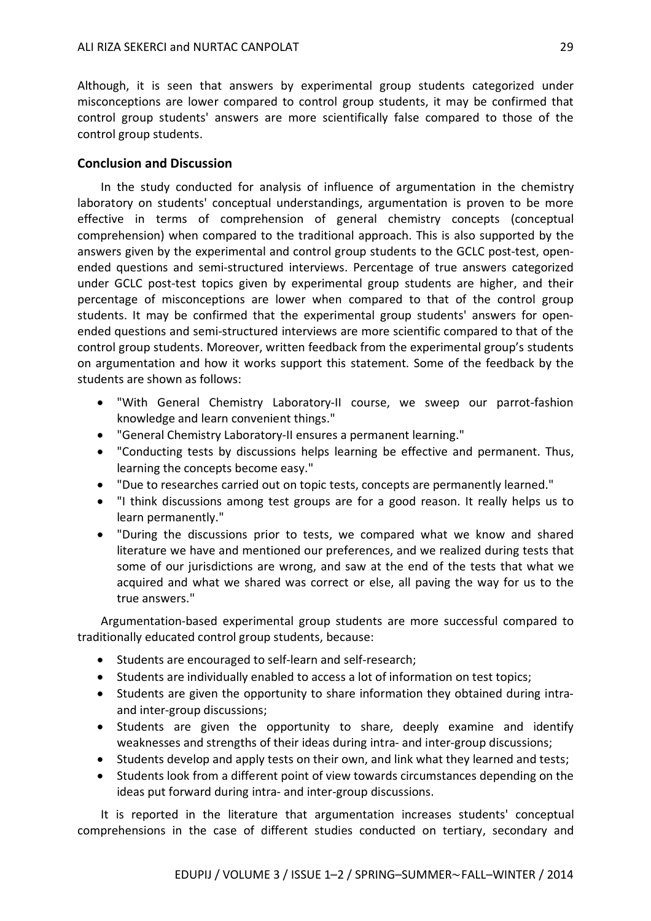Although, it is seen that answers by experimental group students categorized under misconceptions are lower compared to control group students, it may be confirmed that control group students' answers are more scientifically false compared to those of the control group students.

### **Conclusion and Discussion**

In the study conducted for analysis of influence of argumentation in the chemistry laboratory on students' conceptual understandings, argumentation is proven to be more effective in terms of comprehension of general chemistry concepts (conceptual comprehension) when compared to the traditional approach. This is also supported by the answers given by the experimental and control group students to the GCLC post-test, openended questions and semi-structured interviews. Percentage of true answers categorized under GCLC post-test topics given by experimental group students are higher, and their percentage of misconceptions are lower when compared to that of the control group students. It may be confirmed that the experimental group students' answers for openended questions and semi-structured interviews are more scientific compared to that of the control group students. Moreover, written feedback from the experimental group's students on argumentation and how it works support this statement. Some of the feedback by the students are shown as follows:

- "With General Chemistry Laboratory-II course, we sweep our parrot-fashion knowledge and learn convenient things."
- "General Chemistry Laboratory-II ensures a permanent learning."
- "Conducting tests by discussions helps learning be effective and permanent. Thus, learning the concepts become easy."
- "Due to researches carried out on topic tests, concepts are permanently learned."
- "I think discussions among test groups are for a good reason. It really helps us to learn permanently."
- "During the discussions prior to tests, we compared what we know and shared literature we have and mentioned our preferences, and we realized during tests that some of our jurisdictions are wrong, and saw at the end of the tests that what we acquired and what we shared was correct or else, all paving the way for us to the true answers."

Argumentation-based experimental group students are more successful compared to traditionally educated control group students, because:

- Students are encouraged to self-learn and self-research;
- Students are individually enabled to access a lot of information on test topics;
- Students are given the opportunity to share information they obtained during intraand inter-group discussions;
- Students are given the opportunity to share, deeply examine and identify weaknesses and strengths of their ideas during intra- and inter-group discussions;
- Students develop and apply tests on their own, and link what they learned and tests;
- Students look from a different point of view towards circumstances depending on the ideas put forward during intra- and inter-group discussions.

It is reported in the literature that argumentation increases students' conceptual comprehensions in the case of different studies conducted on tertiary, secondary and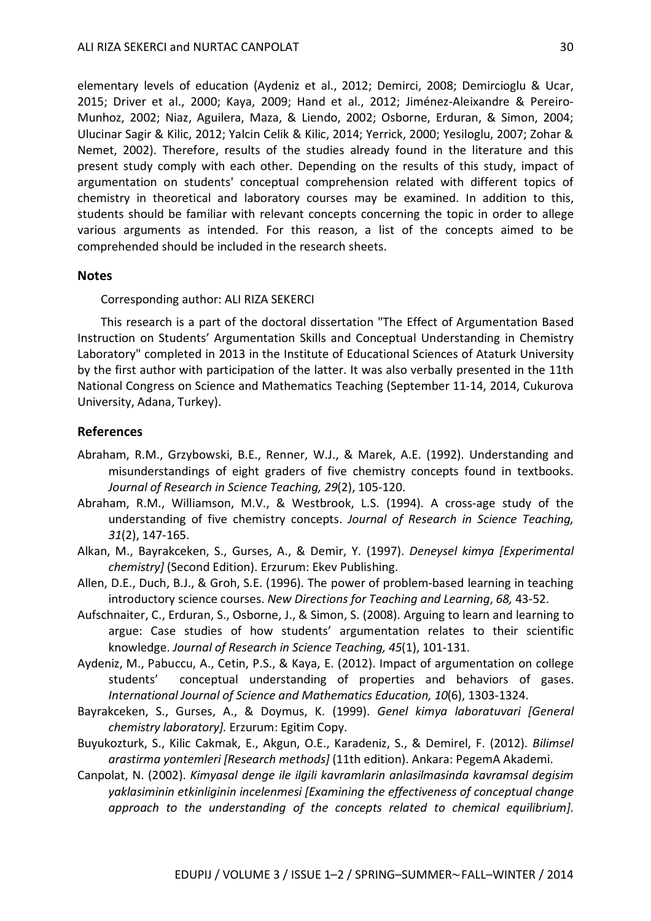elementary levels of education (Aydeniz et al., 2012; Demirci, 2008; Demircioglu & Ucar, 2015; Driver et al., 2000; Kaya, 2009; Hand et al., 2012; Jiménez-Aleixandre & Pereiro-Munhoz, 2002; Niaz, Aguilera, Maza, & Liendo, 2002; Osborne, Erduran, & Simon, 2004; Ulucinar Sagir & Kilic, 2012; Yalcin Celik & Kilic, 2014; Yerrick, 2000; Yesiloglu, 2007; Zohar & Nemet, 2002). Therefore, results of the studies already found in the literature and this present study comply with each other. Depending on the results of this study, impact of argumentation on students' conceptual comprehension related with different topics of chemistry in theoretical and laboratory courses may be examined. In addition to this, students should be familiar with relevant concepts concerning the topic in order to allege various arguments as intended. For this reason, a list of the concepts aimed to be comprehended should be included in the research sheets.

#### **Notes**

Corresponding author: ALI RIZA SEKERCI

This research is a part of the doctoral dissertation "The Effect of Argumentation Based Instruction on Students' Argumentation Skills and Conceptual Understanding in Chemistry Laboratory" completed in 2013 in the Institute of Educational Sciences of Ataturk University by the first author with participation of the latter. It was also verbally presented in the 11th National Congress on Science and Mathematics Teaching (September 11-14, 2014, Cukurova University, Adana, Turkey).

#### **References**

- Abraham, R.M., Grzybowski, B.E., Renner, W.J., & Marek, A.E. (1992). Understanding and misunderstandings of eight graders of five chemistry concepts found in textbooks. *Journal of Research in Science Teaching, 29*(2), 105-120.
- Abraham, R.M., Williamson, M.V., & Westbrook, L.S. (1994). A cross-age study of the understanding of five chemistry concepts. *Journal of Research in Science Teaching, 31*(2), 147-165.
- Alkan, M., Bayrakceken, S., Gurses, A., & Demir, Y. (1997). *Deneysel kimya [Experimental chemistry]* (Second Edition). Erzurum: Ekev Publishing.
- Allen, D.E., Duch, B.J., & Groh, S.E. (1996). The power of problem-based learning in teaching introductory science courses. *New Directions for Teaching and Learning*, *68,* 43-52.
- Aufschnaiter, C., Erduran, S., Osborne, J., & Simon, S. (2008). Arguing to learn and learning to argue: Case studies of how students' argumentation relates to their scientific knowledge. *Journal of Research in Science Teaching, 45*(1), 101-131.
- Aydeniz, M., Pabuccu, A., Cetin, P.S., & Kaya, E. (2012). Impact of argumentation on college students' conceptual understanding of properties and behaviors of gases. *International Journal of Science and Mathematics Education, 10*(6), 1303-1324.
- Bayrakceken, S., Gurses, A., & Doymus, K. (1999). *Genel kimya laboratuvari [General chemistry laboratory].* Erzurum: Egitim Copy.
- Buyukozturk, S., Kilic Cakmak, E., Akgun, O.E., Karadeniz, S., & Demirel, F. (2012). *Bilimsel arastirma yontemleri [Research methods]* (11th edition). Ankara: PegemA Akademi.
- Canpolat, N. (2002). *Kimyasal denge ile ilgili kavramlarin anlasilmasinda kavramsal degisim yaklasiminin etkinliginin incelenmesi [Examining the effectiveness of conceptual change approach to the understanding of the concepts related to chemical equilibrium]*.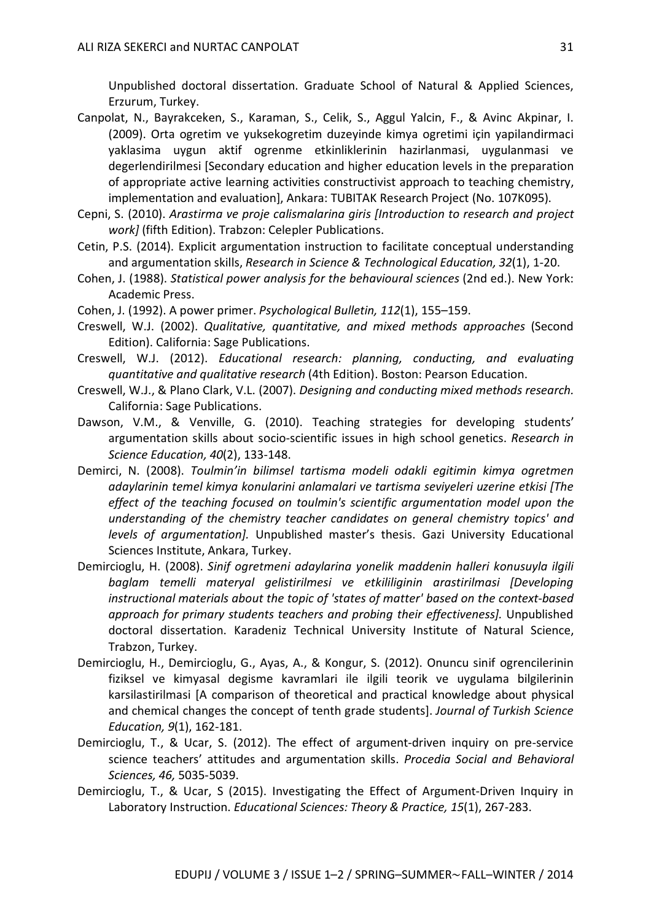Unpublished doctoral dissertation. Graduate School of Natural & Applied Sciences, Erzurum, Turkey.

- Canpolat, N., Bayrakceken, S., Karaman, S., Celik, S., Aggul Yalcin, F., & Avinc Akpinar, I. (2009). Orta ogretim ve yuksekogretim duzeyinde kimya ogretimi için yapilandirmaci yaklasima uygun aktif ogrenme etkinliklerinin hazirlanmasi, uygulanmasi ve degerlendirilmesi [Secondary education and higher education levels in the preparation of appropriate active learning activities constructivist approach to teaching chemistry, implementation and evaluation], Ankara: TUBITAK Research Project (No. 107K095).
- Cepni, S. (2010). *Arastirma ve proje calismalarina giris [Introduction to research and project work]* (fifth Edition). Trabzon: Celepler Publications.
- Cetin, P.S. (2014). Explicit argumentation instruction to facilitate conceptual understanding and argumentation skills, *Research in Science & Technological Education, 32*(1), 1-20.
- Cohen, J. (1988). *Statistical power analysis for the behavioural sciences* (2nd ed.). New York: Academic Press.
- Cohen, J. (1992). A power primer. *Psychological Bulletin, 112*(1), 155–159.
- Creswell, W.J. (2002). *Qualitative, quantitative, and mixed methods approaches* (Second Edition). California: Sage Publications.
- Creswell, W.J. (2012). *Educational research: planning, conducting, and evaluating quantitative and qualitative research* (4th Edition). Boston: Pearson Education.
- Creswell, W.J., & Plano Clark, V.L. (2007). *Designing and conducting mixed methods research.* California: Sage Publications.
- Dawson, V.M., & Venville, G. (2010). Teaching strategies for developing students' argumentation skills about socio-scientific issues in high school genetics. *Research in Science Education, 40*(2), 133-148.
- Demirci, N. (2008). *Toulmin'in bilimsel tartisma modeli odakli egitimin kimya ogretmen adaylarinin temel kimya konularini anlamalari ve tartisma seviyeleri uzerine etkisi [The effect of the teaching focused on toulmin's scientific argumentation model upon the understanding of the chemistry teacher candidates on general chemistry topics' and levels of argumentation].* Unpublished master's thesis. Gazi University Educational Sciences Institute, Ankara, Turkey.
- Demircioglu, H. (2008). *Sinif ogretmeni adaylarina yonelik maddenin halleri konusuyla ilgili baglam temelli materyal gelistirilmesi ve etkililiginin arastirilmasi [Developing instructional materials about the topic of 'states of matter' based on the context-based approach for primary students teachers and probing their effectiveness].* Unpublished doctoral dissertation. Karadeniz Technical University Institute of Natural Science, Trabzon, Turkey.
- Demircioglu, H., Demircioglu, G., Ayas, A., & Kongur, S. (2012). Onuncu sinif ogrencilerinin fiziksel ve kimyasal degisme kavramlari ile ilgili teorik ve uygulama bilgilerinin karsilastirilmasi [A comparison of theoretical and practical knowledge about physical and chemical changes the concept of tenth grade students]. *Journal of Turkish Science Education, 9*(1), 162-181.
- Demircioglu, T., & Ucar, S. (2012). The effect of argument-driven inquiry on pre-service science teachers' attitudes and argumentation skills. *Procedia Social and Behavioral Sciences, 46,* 5035-5039.
- Demircioglu, T., & Ucar, S (2015). Investigating the Effect of Argument-Driven Inquiry in Laboratory Instruction. *Educational Sciences: Theory & Practice, 15*(1), 267-283.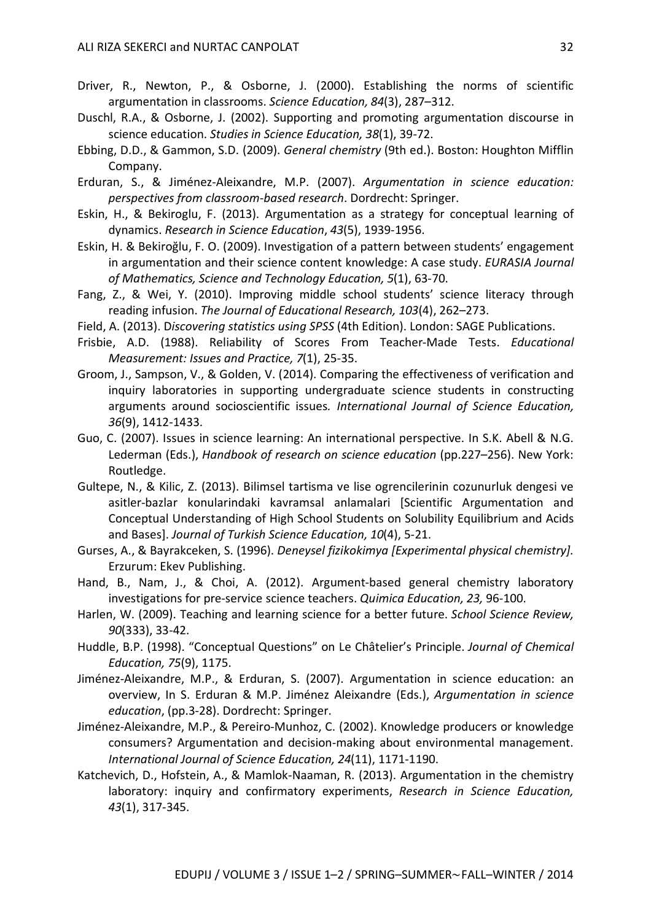- Driver, R., Newton, P., & Osborne, J. (2000). Establishing the norms of scientific argumentation in classrooms. *Science Education, 84*(3), 287–312.
- Duschl, R.A., & Osborne, J. (2002). Supporting and promoting argumentation discourse in science education. *Studies in Science Education, 38*(1), 39-72.
- Ebbing, D.D., & Gammon, S.D. (2009). *General chemistry* (9th ed.). Boston: Houghton Mifflin Company.
- Erduran, S., & Jiménez-Aleixandre, M.P. (2007). *Argumentation in science education: perspectives from classroom-based research*. Dordrecht: Springer.
- Eskin, H., & Bekiroglu, F. (2013). Argumentation as a strategy for conceptual learning of dynamics. *Research in Science Education*, *43*(5), 1939-1956.
- Eskin, H. & Bekiroğlu, F. O. (2009). Investigation of a pattern between students' engagement in argumentation and their science content knowledge: A case study. *EURASIA Journal of Mathematics, Science and Technology Education, 5*(1), 63-70.
- Fang, Z., & Wei, Y. (2010). Improving middle school students' science literacy through reading infusion. *The Journal of Educational Research, 103*(4), 262–273.
- Field, A. (2013). D*iscovering statistics using SPSS* (4th Edition). London: SAGE Publications.
- Frisbie, A.D. (1988). Reliability of Scores From Teacher-Made Tests. *Educational Measurement: Issues and Practice, 7*(1), 25-35.
- Groom, J., Sampson, V., & Golden, V. (2014). Comparing the effectiveness of verification and inquiry laboratories in supporting undergraduate science students in constructing arguments around socioscientific issues*. International Journal of Science Education, 36*(9), 1412-1433.
- Guo, C. (2007). Issues in science learning: An international perspective. In S.K. Abell & N.G. Lederman (Eds.), *Handbook of research on science education* (pp.227–256). New York: Routledge.
- Gultepe, N., & Kilic, Z. (2013). Bilimsel tartisma ve lise ogrencilerinin cozunurluk dengesi ve asitler-bazlar konularindaki kavramsal anlamalari [Scientific Argumentation and Conceptual Understanding of High School Students on Solubility Equilibrium and Acids and Bases]. *Journal of Turkish Science Education, 10*(4), 5-21.
- Gurses, A., & Bayrakceken, S. (1996). *Deneysel fizikokimya [Experimental physical chemistry]*. Erzurum: Ekev Publishing.
- Hand, B., Nam, J., & Choi, A. (2012). Argument-based general chemistry laboratory investigations for pre-service science teachers. *Quimica Education, 23,* 96-100.
- Harlen, W. (2009). Teaching and learning science for a better future. *School Science Review, 90*(333), 33-42.
- Huddle, B.P. (1998). "Conceptual Questions" on Le Châtelier's Principle. *Journal of Chemical Education, 75*(9), 1175.
- Jiménez-Aleixandre, M.P., & Erduran, S. (2007). Argumentation in science education: an overview, In S. Erduran & M.P. Jiménez Aleixandre (Eds.), *Argumentation in science education*, (pp.3-28). Dordrecht: Springer.
- Jiménez-Aleixandre, M.P., & Pereiro-Munhoz, C. (2002). Knowledge producers or knowledge consumers? Argumentation and decision-making about environmental management. *International Journal of Science Education, 24*(11), 1171-1190.
- Katchevich, D., Hofstein, A., & Mamlok-Naaman, R. (2013). Argumentation in the chemistry laboratory: inquiry and confirmatory experiments, *Research in Science Education, 43*(1), 317-345.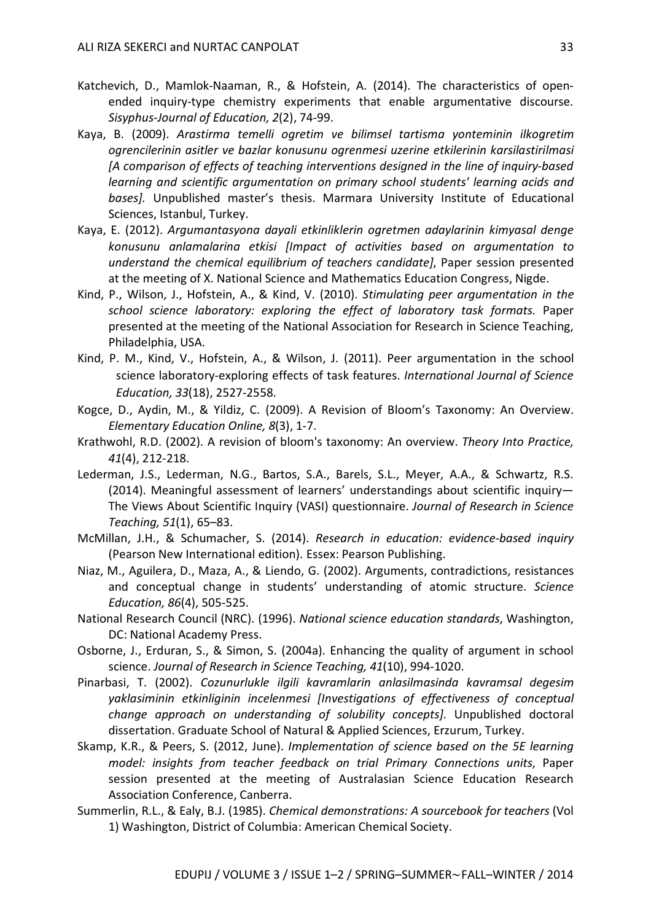- Katchevich, D., Mamlok-Naaman, R., & Hofstein, A. (2014). The characteristics of openended inquiry-type chemistry experiments that enable argumentative discourse. *Sisyphus-Journal of Education, 2*(2), 74-99.
- Kaya, B. (2009). *Arastirma temelli ogretim ve bilimsel tartisma yonteminin ilkogretim ogrencilerinin asitler ve bazlar konusunu ogrenmesi uzerine etkilerinin karsilastirilmasi [A comparison of effects of teaching interventions designed in the line of inquiry-based learning and scientific argumentation on primary school students' learning acids and bases].* Unpublished master's thesis. Marmara University Institute of Educational Sciences, Istanbul, Turkey.
- Kaya, E. (2012). *Argumantasyona dayali etkinliklerin ogretmen adaylarinin kimyasal denge konusunu anlamalarina etkisi [Impact of activities based on argumentation to understand the chemical equilibrium of teachers candidate]*, Paper session presented at the meeting of X. National Science and Mathematics Education Congress, Nigde.
- Kind, P., Wilson, J., Hofstein, A., & Kind, V. (2010). *Stimulating peer argumentation in the school science laboratory: exploring the effect of laboratory task formats.* Paper presented at the meeting of the National Association for Research in Science Teaching, Philadelphia, USA.
- Kind, P. M., Kind, V., Hofstein, A., & Wilson, J. (2011). Peer argumentation in the school science laboratory-exploring effects of task features. *International Journal of Science Education, 33*(18), 2527-2558.
- Kogce, D., Aydin, M., & Yildiz, C. (2009). A Revision of Bloom's Taxonomy: An Overview. *Elementary Education Online, 8*(3), 1-7.
- Krathwohl, R.D. (2002). A revision of bloom's taxonomy: An overview. *Theory Into Practice, 41*(4), 212-218.
- Lederman, J.S., Lederman, N.G., Bartos, S.A., Barels, S.L., Meyer, A.A., & Schwartz, R.S. (2014). Meaningful assessment of learners' understandings about scientific inquiry— The Views About Scientific Inquiry (VASI) questionnaire. *Journal of Research in Science Teaching, 51*(1), 65–83.
- McMillan, J.H., & Schumacher, S. (2014). *Research in education: evidence-based inquiry* (Pearson New International edition). Essex: Pearson Publishing.
- Niaz, M., Aguilera, D., Maza, A., & Liendo, G. (2002). Arguments, contradictions, resistances and conceptual change in students' understanding of atomic structure. *Science Education, 86*(4), 505-525.
- National Research Council (NRC). (1996). *National science education standards*, Washington, DC: National Academy Press.
- Osborne, J., Erduran, S., & Simon, S. (2004a). Enhancing the quality of argument in school science. *Journal of Research in Science Teaching, 41*(10), 994-1020.
- Pinarbasi, T. (2002). *Cozunurlukle ilgili kavramlarin anlasilmasinda kavramsal degesim yaklasiminin etkinliginin incelenmesi [Investigations of effectiveness of conceptual change approach on understanding of solubility concepts].* Unpublished doctoral dissertation. Graduate School of Natural & Applied Sciences, Erzurum, Turkey.
- Skamp, K.R., & Peers, S. (2012, June). *Implementation of science based on the 5E learning model: insights from teacher feedback on trial Primary Connections units*, Paper session presented at the meeting of Australasian Science Education Research Association Conference, Canberra.
- Summerlin, R.L., & Ealy, B.J. (1985). *Chemical demonstrations: A sourcebook for teachers* (Vol 1) Washington, District of Columbia: American Chemical Society.